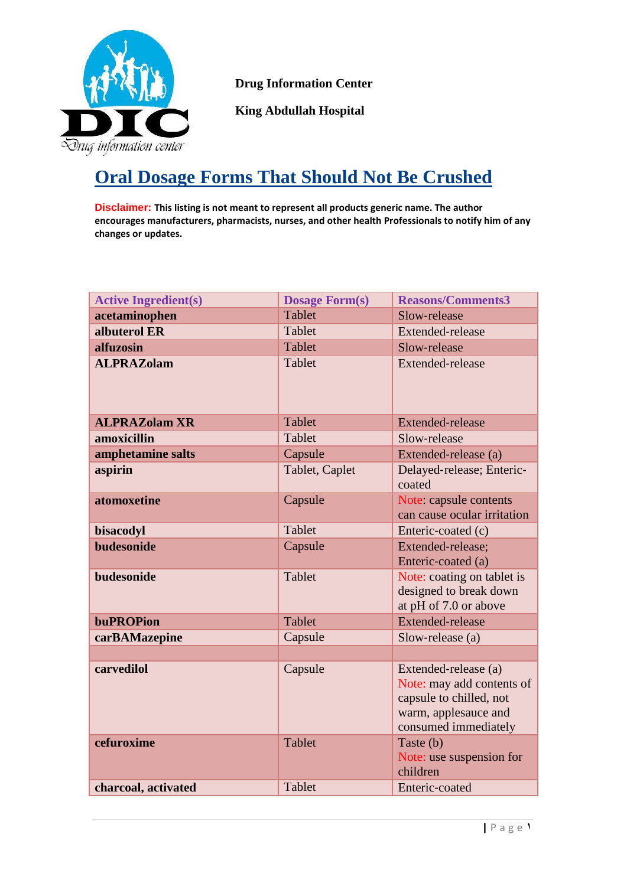

 **Drug Information Center** 

 **King Abdullah Hospital** 

## **Oral Dosage Forms That Should Not Be Crushed**

**Disclaimer: This listing is not meant to represent all products generic name. The author encourages manufacturers, pharmacists, nurses, and other health Professionals to notify him of any changes or updates.**

| <b>Active Ingredient(s)</b> | <b>Dosage Form(s)</b> | <b>Reasons/Comments3</b>                                                                                                     |
|-----------------------------|-----------------------|------------------------------------------------------------------------------------------------------------------------------|
| acetaminophen               | <b>Tablet</b>         | Slow-release                                                                                                                 |
| albuterol ER                | Tablet                | Extended-release                                                                                                             |
| alfuzosin                   | Tablet                | Slow-release                                                                                                                 |
| <b>ALPRAZolam</b>           | Tablet                | Extended-release                                                                                                             |
| <b>ALPRAZolam XR</b>        | Tablet                | Extended-release                                                                                                             |
| amoxicillin                 | Tablet                | Slow-release                                                                                                                 |
| amphetamine salts           | Capsule               | Extended-release (a)                                                                                                         |
| aspirin                     | Tablet, Caplet        | Delayed-release; Enteric-<br>coated                                                                                          |
| atomoxetine                 | Capsule               | Note: capsule contents<br>can cause ocular irritation                                                                        |
| bisacodyl                   | Tablet                | Enteric-coated (c)                                                                                                           |
| <b>budesonide</b>           | Capsule               | Extended-release;<br>Enteric-coated (a)                                                                                      |
| budesonide                  | Tablet                | Note: coating on tablet is<br>designed to break down<br>at pH of 7.0 or above                                                |
| <b>buPROPion</b>            | Tablet                | <b>Extended-release</b>                                                                                                      |
| carBAMazepine               | Capsule               | Slow-release (a)                                                                                                             |
|                             |                       |                                                                                                                              |
| carvedilol                  | Capsule               | Extended-release (a)<br>Note: may add contents of<br>capsule to chilled, not<br>warm, applesauce and<br>consumed immediately |
| cefuroxime                  | <b>Tablet</b>         | Taste (b)<br>Note: use suspension for<br>children                                                                            |
| charcoal, activated         | Tablet                | Enteric-coated                                                                                                               |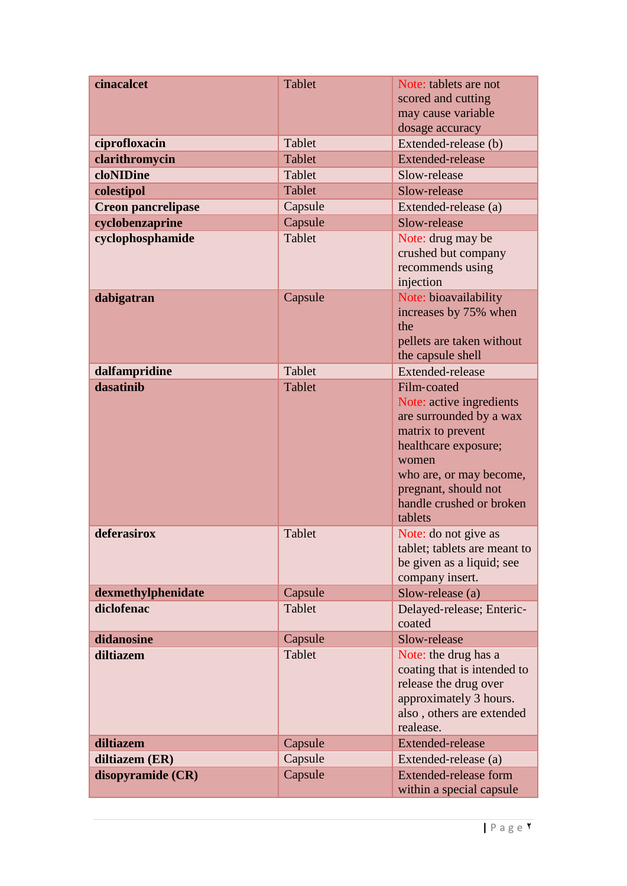| cinacalcet                | <b>Tablet</b> | Note: tablets are not<br>scored and cutting                                                                                                                                                                        |
|---------------------------|---------------|--------------------------------------------------------------------------------------------------------------------------------------------------------------------------------------------------------------------|
|                           |               | may cause variable<br>dosage accuracy                                                                                                                                                                              |
| ciprofloxacin             | Tablet        | Extended-release (b)                                                                                                                                                                                               |
| clarithromycin            | Tablet        | <b>Extended-release</b>                                                                                                                                                                                            |
| cloNIDine                 | Tablet        | Slow-release                                                                                                                                                                                                       |
| colestipol                | Tablet        | Slow-release                                                                                                                                                                                                       |
| <b>Creon pancrelipase</b> | Capsule       | Extended-release (a)                                                                                                                                                                                               |
| cyclobenzaprine           | Capsule       | Slow-release                                                                                                                                                                                                       |
| cyclophosphamide          | Tablet        | Note: drug may be<br>crushed but company<br>recommends using<br>injection                                                                                                                                          |
| dabigatran                | Capsule       | Note: bioavailability<br>increases by 75% when<br>the<br>pellets are taken without<br>the capsule shell                                                                                                            |
| dalfampridine             | Tablet        | Extended-release                                                                                                                                                                                                   |
| dasatinib                 | Tablet        | Film-coated<br>Note: active ingredients<br>are surrounded by a wax<br>matrix to prevent<br>healthcare exposure;<br>women<br>who are, or may become,<br>pregnant, should not<br>handle crushed or broken<br>tablets |
| deferasirox               | Tablet        | Note: do not give as<br>tablet; tablets are meant to<br>be given as a liquid; see<br>company insert.                                                                                                               |
| dexmethylphenidate        | Capsule       | Slow-release (a)                                                                                                                                                                                                   |
| diclofenac                | <b>Tablet</b> | Delayed-release; Enteric-<br>coated                                                                                                                                                                                |
| didanosine                | Capsule       | Slow-release                                                                                                                                                                                                       |
| diltiazem                 | Tablet        | Note: the drug has a<br>coating that is intended to<br>release the drug over<br>approximately 3 hours.<br>also, others are extended<br>realease.                                                                   |
| diltiazem                 | Capsule       | <b>Extended-release</b>                                                                                                                                                                                            |
| diltiazem (ER)            | Capsule       | Extended-release (a)                                                                                                                                                                                               |
| disopyramide (CR)         | Capsule       | Extended-release form<br>within a special capsule                                                                                                                                                                  |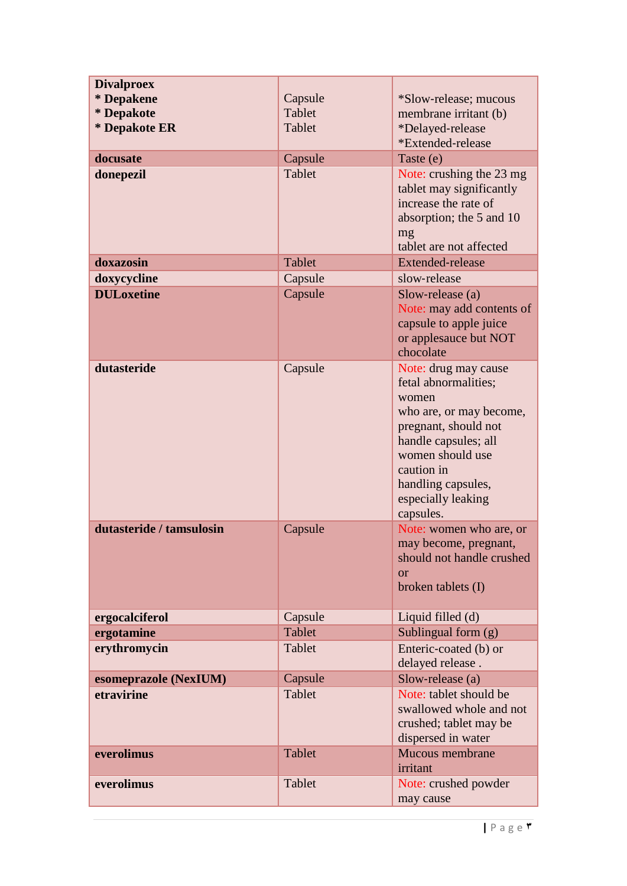| <b>Divalproex</b>        |               |                                                                                                                                                                                                                             |
|--------------------------|---------------|-----------------------------------------------------------------------------------------------------------------------------------------------------------------------------------------------------------------------------|
| * Depakene               | Capsule       | *Slow-release; mucous                                                                                                                                                                                                       |
| * Depakote               | Tablet        | membrane irritant (b)                                                                                                                                                                                                       |
| * Depakote ER            | Tablet        | *Delayed-release                                                                                                                                                                                                            |
|                          |               | *Extended-release                                                                                                                                                                                                           |
| docusate                 | Capsule       | Taste (e)                                                                                                                                                                                                                   |
| donepezil                | Tablet        | Note: crushing the 23 mg<br>tablet may significantly<br>increase the rate of<br>absorption; the 5 and 10<br>mg<br>tablet are not affected                                                                                   |
| doxazosin                | Tablet        | <b>Extended-release</b>                                                                                                                                                                                                     |
| doxycycline              | Capsule       | slow-release                                                                                                                                                                                                                |
| <b>DULoxetine</b>        | Capsule       | Slow-release (a)<br>Note: may add contents of<br>capsule to apple juice<br>or applesauce but NOT<br>chocolate                                                                                                               |
| dutasteride              | Capsule       | Note: drug may cause<br>fetal abnormalities;<br>women<br>who are, or may become,<br>pregnant, should not<br>handle capsules; all<br>women should use<br>caution in<br>handling capsules,<br>especially leaking<br>capsules. |
| dutasteride / tamsulosin | Capsule       | Note: women who are, or<br>may become, pregnant,<br>should not handle crushed<br><b>or</b><br>broken tablets (I)                                                                                                            |
| ergocalciferol           | Capsule       | Liquid filled (d)                                                                                                                                                                                                           |
| ergotamine               | <b>Tablet</b> | Sublingual form $(g)$                                                                                                                                                                                                       |
| erythromycin             | Tablet        | Enteric-coated (b) or<br>delayed release.                                                                                                                                                                                   |
| esomeprazole (NexIUM)    | Capsule       | Slow-release (a)                                                                                                                                                                                                            |
| etravirine               | Tablet        | Note: tablet should be<br>swallowed whole and not<br>crushed; tablet may be<br>dispersed in water                                                                                                                           |
| everolimus               | Tablet        | Mucous membrane<br>irritant                                                                                                                                                                                                 |
| everolimus               | Tablet        | Note: crushed powder<br>may cause                                                                                                                                                                                           |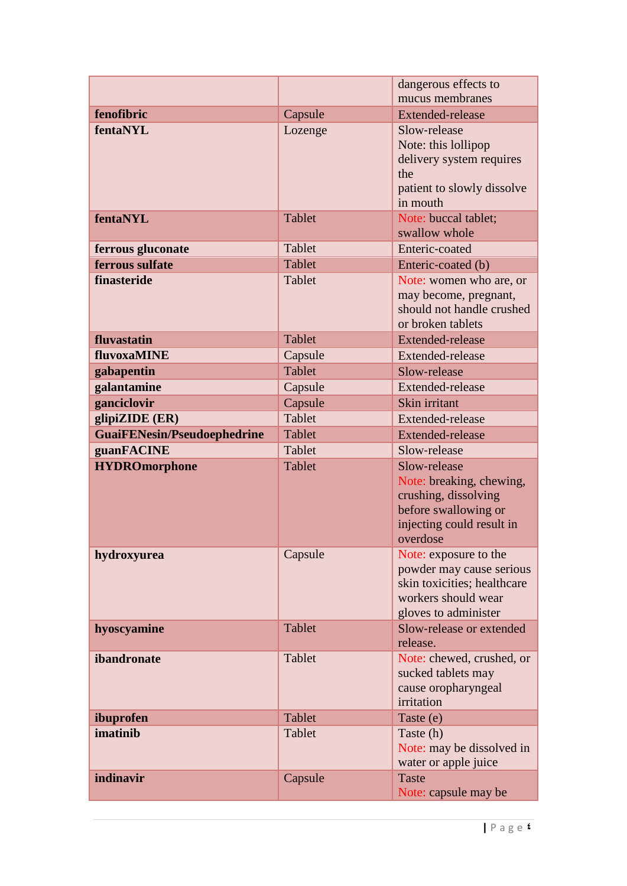|                                    |               | dangerous effects to                                                                                                              |
|------------------------------------|---------------|-----------------------------------------------------------------------------------------------------------------------------------|
|                                    |               | mucus membranes                                                                                                                   |
| fenofibric                         | Capsule       | <b>Extended-release</b>                                                                                                           |
| fentaNYL                           | Lozenge       | Slow-release<br>Note: this lollipop<br>delivery system requires<br>the<br>patient to slowly dissolve<br>in mouth                  |
| fentaNYL                           | <b>Tablet</b> | Note: buccal tablet;<br>swallow whole                                                                                             |
| ferrous gluconate                  | Tablet        | Enteric-coated                                                                                                                    |
| ferrous sulfate                    | Tablet        | Enteric-coated (b)                                                                                                                |
| finasteride                        | Tablet        | Note: women who are, or<br>may become, pregnant,<br>should not handle crushed<br>or broken tablets                                |
| fluvastatin                        | Tablet        | <b>Extended-release</b>                                                                                                           |
| fluvoxaMINE                        | Capsule       | Extended-release                                                                                                                  |
| gabapentin                         | <b>Tablet</b> | Slow-release                                                                                                                      |
| galantamine                        | Capsule       | Extended-release                                                                                                                  |
| ganciclovir                        | Capsule       | Skin irritant                                                                                                                     |
| glipiZIDE (ER)                     | Tablet        | Extended-release                                                                                                                  |
| <b>GuaiFENesin/Pseudoephedrine</b> | Tablet        | <b>Extended-release</b>                                                                                                           |
| guanFACINE                         | Tablet        | Slow-release                                                                                                                      |
| <b>HYDROmorphone</b>               | Tablet        | Slow-release<br>Note: breaking, chewing,<br>crushing, dissolving<br>before swallowing or<br>injecting could result in<br>overdose |
| hydroxyurea                        | Capsule       | Note: exposure to the<br>powder may cause serious<br>skin toxicities; healthcare<br>workers should wear<br>gloves to administer   |
| hyoscyamine                        | Tablet        | Slow-release or extended<br>release.                                                                                              |
| ibandronate                        | Tablet        | Note: chewed, crushed, or<br>sucked tablets may<br>cause oropharyngeal<br>irritation                                              |
| ibuprofen                          | Tablet        | Taste (e)                                                                                                                         |
| imatinib                           | Tablet        | Taste (h)<br>Note: may be dissolved in<br>water or apple juice                                                                    |
| indinavir                          | Capsule       | <b>Taste</b><br>Note: capsule may be                                                                                              |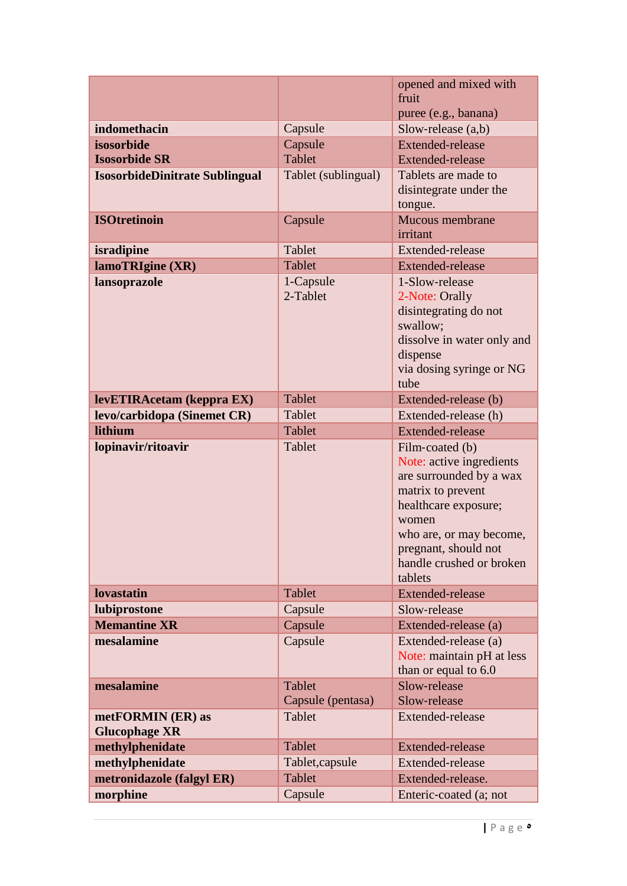|                                           |                                    | opened and mixed with                                                                                                                                                                                                  |
|-------------------------------------------|------------------------------------|------------------------------------------------------------------------------------------------------------------------------------------------------------------------------------------------------------------------|
|                                           |                                    | fruit                                                                                                                                                                                                                  |
|                                           |                                    | puree (e.g., banana)                                                                                                                                                                                                   |
| indomethacin                              | Capsule                            | Slow-release $(a,b)$                                                                                                                                                                                                   |
| isosorbide                                | Capsule                            | <b>Extended-release</b>                                                                                                                                                                                                |
| <b>Isosorbide SR</b>                      | <b>Tablet</b>                      | <b>Extended-release</b>                                                                                                                                                                                                |
| <b>IsosorbideDinitrate Sublingual</b>     | Tablet (sublingual)                | Tablets are made to<br>disintegrate under the                                                                                                                                                                          |
| <b>ISOtretinoin</b>                       |                                    | tongue.                                                                                                                                                                                                                |
|                                           | Capsule                            | <b>Mucous membrane</b><br>irritant                                                                                                                                                                                     |
|                                           | Tablet                             | Extended-release                                                                                                                                                                                                       |
| isradipine                                |                                    |                                                                                                                                                                                                                        |
| lamoTRIgine (XR)                          | Tablet                             | <b>Extended-release</b>                                                                                                                                                                                                |
| lansoprazole                              | 1-Capsule<br>2-Tablet              | 1-Slow-release<br>2-Note: Orally<br>disintegrating do not<br>swallow;<br>dissolve in water only and<br>dispense<br>via dosing syringe or NG<br>tube                                                                    |
| levETIRAcetam (keppra EX)                 | Tablet                             | Extended-release (b)                                                                                                                                                                                                   |
| levo/carbidopa (Sinemet CR)               | Tablet                             | Extended-release (h)                                                                                                                                                                                                   |
|                                           | Tablet                             | <b>Extended-release</b>                                                                                                                                                                                                |
| lithium                                   |                                    |                                                                                                                                                                                                                        |
| lopinavir/ritoavir                        | Tablet                             | Film-coated (b)<br>Note: active ingredients<br>are surrounded by a wax<br>matrix to prevent<br>healthcare exposure;<br>women<br>who are, or may become,<br>pregnant, should not<br>handle crushed or broken<br>tablets |
| <b>lovastatin</b>                         | Tablet                             | <b>Extended-release</b>                                                                                                                                                                                                |
| lubiprostone                              | Capsule                            | Slow-release                                                                                                                                                                                                           |
| <b>Memantine XR</b>                       | Capsule                            | Extended-release (a)                                                                                                                                                                                                   |
| mesalamine                                | Capsule                            | Extended-release (a)<br>Note: maintain pH at less<br>than or equal to 6.0                                                                                                                                              |
| mesalamine                                | <b>Tablet</b><br>Capsule (pentasa) | Slow-release<br>Slow-release                                                                                                                                                                                           |
| metFORMIN (ER) as<br><b>Glucophage XR</b> | Tablet                             | Extended-release                                                                                                                                                                                                       |
| methylphenidate                           | Tablet                             | <b>Extended-release</b>                                                                                                                                                                                                |
| methylphenidate                           | Tablet, capsule                    | Extended-release                                                                                                                                                                                                       |
| metronidazole (falgyl ER)                 | Tablet                             | Extended-release.                                                                                                                                                                                                      |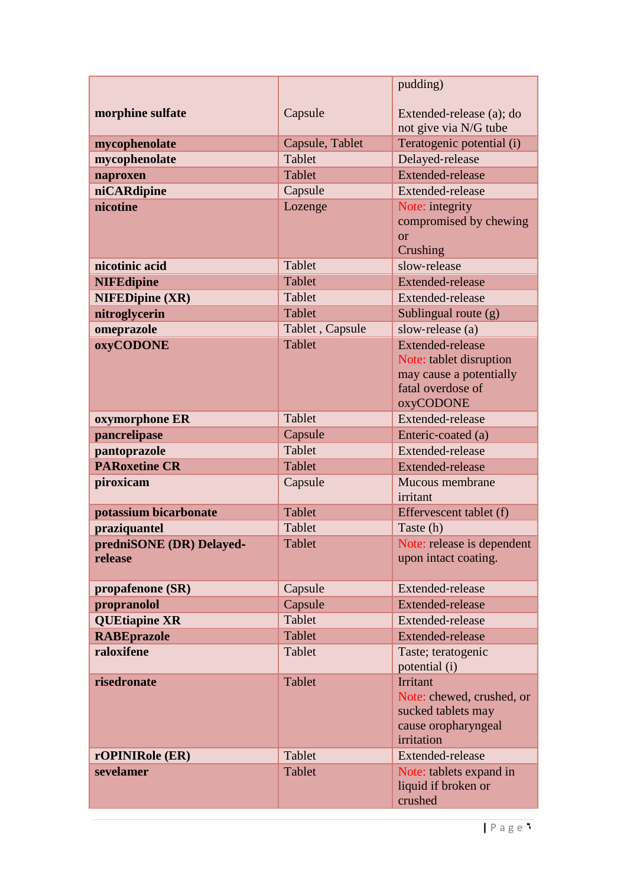|                                     |                 | pudding)                                                                                                        |
|-------------------------------------|-----------------|-----------------------------------------------------------------------------------------------------------------|
| morphine sulfate                    | Capsule         | Extended-release (a); do                                                                                        |
|                                     |                 | not give via N/G tube                                                                                           |
| mycophenolate                       | Capsule, Tablet | Teratogenic potential (i)                                                                                       |
| mycophenolate                       | Tablet          | Delayed-release                                                                                                 |
| naproxen                            | <b>Tablet</b>   | <b>Extended-release</b>                                                                                         |
| niCARdipine                         | Capsule         | Extended-release                                                                                                |
| nicotine                            | Lozenge         | Note: integrity<br>compromised by chewing<br>$\alpha$<br>Crushing                                               |
| nicotinic acid                      | Tablet          | slow-release                                                                                                    |
| <b>NIFEdipine</b>                   | Tablet          | <b>Extended-release</b>                                                                                         |
| <b>NIFEDipine (XR)</b>              | Tablet          | Extended-release                                                                                                |
| nitroglycerin                       | <b>Tablet</b>   | Sublingual route (g)                                                                                            |
| omeprazole                          | Tablet, Capsule | slow-release (a)                                                                                                |
| <b>oxyCODONE</b>                    | <b>Tablet</b>   | <b>Extended-release</b><br>Note: tablet disruption<br>may cause a potentially<br>fatal overdose of<br>oxyCODONE |
| oxymorphone ER                      | Tablet          | Extended-release                                                                                                |
| pancrelipase                        | Capsule         | Enteric-coated (a)                                                                                              |
| pantoprazole                        | <b>Tablet</b>   | Extended-release                                                                                                |
| <b>PARoxetine CR</b>                | Tablet          | <b>Extended-release</b>                                                                                         |
| piroxicam                           | Capsule         | Mucous membrane<br>irritant                                                                                     |
| potassium bicarbonate               | <b>Tablet</b>   | Effervescent tablet (f)                                                                                         |
| praziquantel                        | <b>Tablet</b>   | Taste (h)                                                                                                       |
| predniSONE (DR) Delayed-<br>release | Tablet          | Note: release is dependent<br>upon intact coating.                                                              |
| propafenone (SR)                    | Capsule         | Extended-release                                                                                                |
| propranolol                         | Capsule         | <b>Extended-release</b>                                                                                         |
| <b>QUEtiapine XR</b>                | <b>Tablet</b>   | Extended-release                                                                                                |
| <b>RABEprazole</b>                  | <b>Tablet</b>   | <b>Extended-release</b>                                                                                         |
| raloxifene                          | Tablet          | Taste; teratogenic<br>potential (i)                                                                             |
| risedronate                         | Tablet          | Irritant<br>Note: chewed, crushed, or<br>sucked tablets may<br>cause oropharyngeal<br>irritation                |
| rOPINIRole (ER)                     | Tablet          | Extended-release                                                                                                |
| sevelamer                           | Tablet          | Note: tablets expand in<br>liquid if broken or<br>crushed                                                       |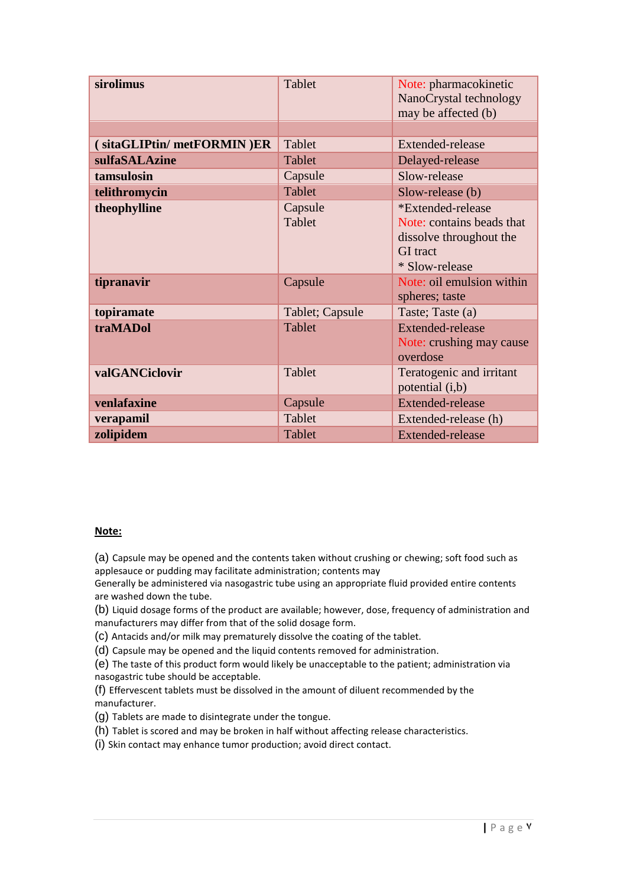| sirolimus                 | Tablet            | Note: pharmacokinetic<br>NanoCrystal technology<br>may be affected (b)                                         |
|---------------------------|-------------------|----------------------------------------------------------------------------------------------------------------|
|                           |                   |                                                                                                                |
| (sitaGLIPtin/metFORMIN)ER | Tablet            | <b>Extended-release</b>                                                                                        |
| sulfaSALAzine             | Tablet            | Delayed-release                                                                                                |
| tamsulosin                | Capsule           | Slow-release                                                                                                   |
| telithromycin             | Tablet            | Slow-release (b)                                                                                               |
| theophylline              | Capsule<br>Tablet | *Extended-release<br>Note: contains beads that<br>dissolve throughout the<br><b>GI</b> tract<br>* Slow-release |
| tipranavir                | Capsule           | Note: oil emulsion within<br>spheres; taste                                                                    |
| topiramate                | Tablet; Capsule   | Taste; Taste (a)                                                                                               |
| traMADol                  | Tablet            | <b>Extended-release</b><br>Note: crushing may cause<br>overdose                                                |
| valGANCiclovir            | Tablet            | Teratogenic and irritant<br>potential (i,b)                                                                    |
| venlafaxine               | Capsule           | <b>Extended-release</b>                                                                                        |
| verapamil                 | Tablet            | Extended-release (h)                                                                                           |
| zolipidem                 | Tablet            | Extended-release                                                                                               |

## **Note:**

(a) Capsule may be opened and the contents taken without crushing or chewing; soft food such as applesauce or pudding may facilitate administration; contents may

Generally be administered via nasogastric tube using an appropriate fluid provided entire contents are washed down the tube.

(b) Liquid dosage forms of the product are available; however, dose, frequency of administration and manufacturers may differ from that of the solid dosage form.

(c) Antacids and/or milk may prematurely dissolve the coating of the tablet.

(d) Capsule may be opened and the liquid contents removed for administration.

(e) The taste of this product form would likely be unacceptable to the patient; administration via nasogastric tube should be acceptable.

(f) Effervescent tablets must be dissolved in the amount of diluent recommended by the manufacturer.

(g) Tablets are made to disintegrate under the tongue.

(h) Tablet is scored and may be broken in half without affecting release characteristics.

(i) Skin contact may enhance tumor production; avoid direct contact.